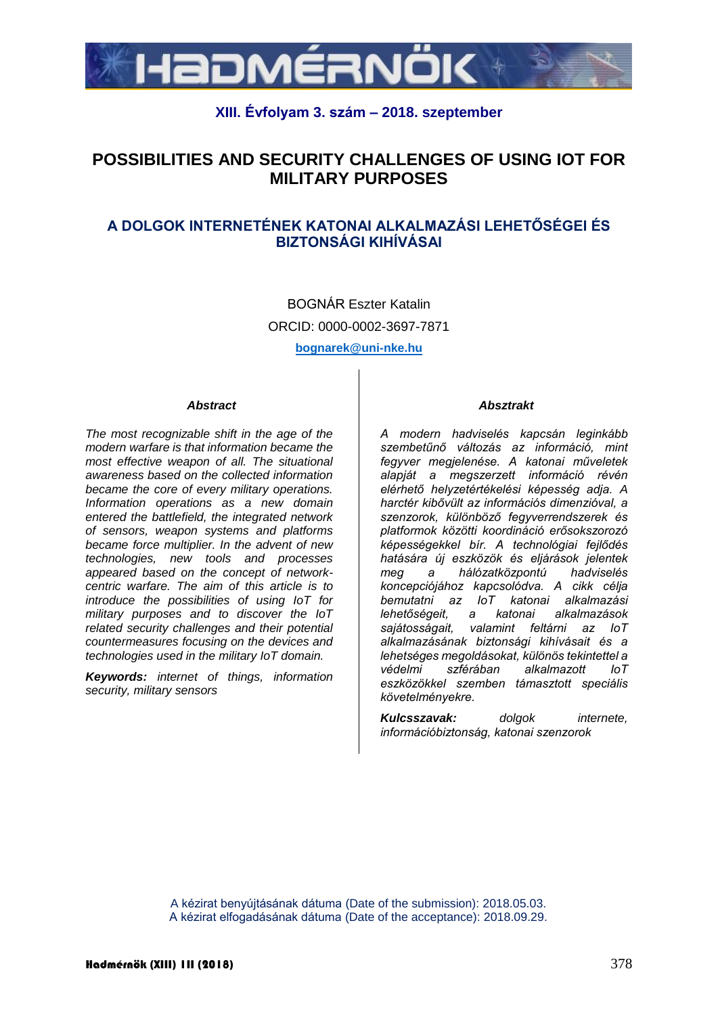

## **XIII. Évfolyam 3. szám – 2018. szeptember**

# **POSSIBILITIES AND SECURITY CHALLENGES OF USING IOT FOR MILITARY PURPOSES**

## **A DOLGOK INTERNETÉNEK KATONAI ALKALMAZÁSI LEHETŐSÉGEI ÉS BIZTONSÁGI KIHÍVÁSAI**

BOGNÁR Eszter Katalin ORCID: 0000-0002-3697-7871 **bognarek@uni-nke.hu**

#### *Abstract*

*The most recognizable shift in the age of the modern warfare is that information became the most effective weapon of all. The situational awareness based on the collected information became the core of every military operations. Information operations as a new domain entered the battlefield, the integrated network of sensors, weapon systems and platforms became force multiplier. In the advent of new technologies, new tools and processes appeared based on the concept of networkcentric warfare. The aim of this article is to introduce the possibilities of using IoT for military purposes and to discover the IoT related security challenges and their potential countermeasures focusing on the devices and technologies used in the military IoT domain.*

*Keywords: internet of things, information security, military sensors*

#### *Absztrakt*

*A modern hadviselés kapcsán leginkább szembetűnő változás az információ, mint fegyver megjelenése. A katonai műveletek alapját a megszerzett információ révén elérhető helyzetértékelési képesség adja. A harctér kibővült az információs dimenzióval, a szenzorok, különböző fegyverrendszerek és platformok közötti koordináció erősokszorozó képességekkel bír. A technológiai fejlődés hatására új eszközök és eljárások jelentek meg a hálózatközpontú hadviselés koncepciójához kapcsolódva. A cikk célja bemutatni az IoT katonai alkalmazási lehetőségeit, a katonai alkalmazások sajátosságait, valamint feltárni az IoT alkalmazásának biztonsági kihívásait és a lehetséges megoldásokat, különös tekintettel a védelmi szférában alkalmazott IoT eszközökkel szemben támasztott speciális követelményekre.*

*Kulcsszavak: dolgok internete, információbiztonság, katonai szenzorok*

A kézirat benyújtásának dátuma (Date of the submission): 2018.05.03. A kézirat elfogadásának dátuma (Date of the acceptance): 2018.09.29.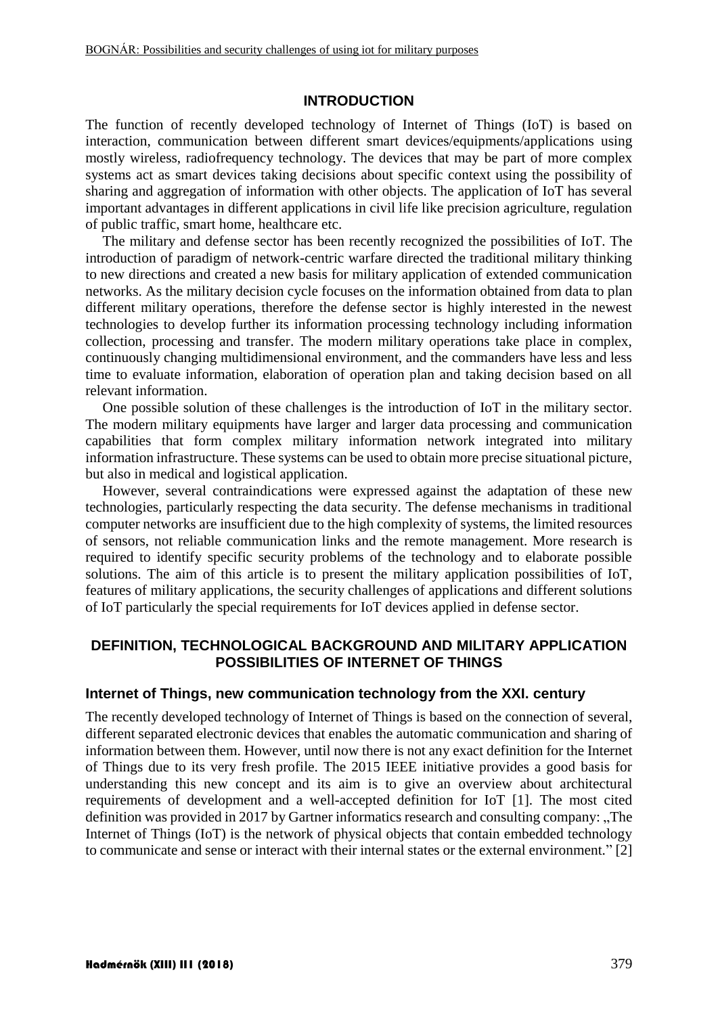#### **INTRODUCTION**

The function of recently developed technology of Internet of Things (IoT) is based on interaction, communication between different smart devices/equipments/applications using mostly wireless, radiofrequency technology. The devices that may be part of more complex systems act as smart devices taking decisions about specific context using the possibility of sharing and aggregation of information with other objects. The application of IoT has several important advantages in different applications in civil life like precision agriculture, regulation of public traffic, smart home, healthcare etc.

The military and defense sector has been recently recognized the possibilities of IoT. The introduction of paradigm of network-centric warfare directed the traditional military thinking to new directions and created a new basis for military application of extended communication networks. As the military decision cycle focuses on the information obtained from data to plan different military operations, therefore the defense sector is highly interested in the newest technologies to develop further its information processing technology including information collection, processing and transfer. The modern military operations take place in complex, continuously changing multidimensional environment, and the commanders have less and less time to evaluate information, elaboration of operation plan and taking decision based on all relevant information.

One possible solution of these challenges is the introduction of IoT in the military sector. The modern military equipments have larger and larger data processing and communication capabilities that form complex military information network integrated into military information infrastructure. These systems can be used to obtain more precise situational picture, but also in medical and logistical application.

However, several contraindications were expressed against the adaptation of these new technologies, particularly respecting the data security. The defense mechanisms in traditional computer networks are insufficient due to the high complexity of systems, the limited resources of sensors, not reliable communication links and the remote management. More research is required to identify specific security problems of the technology and to elaborate possible solutions. The aim of this article is to present the military application possibilities of IoT, features of military applications, the security challenges of applications and different solutions of IoT particularly the special requirements for IoT devices applied in defense sector.

#### **DEFINITION, TECHNOLOGICAL BACKGROUND AND MILITARY APPLICATION POSSIBILITIES OF INTERNET OF THINGS**

#### **Internet of Things, new communication technology from the XXI. century**

The recently developed technology of Internet of Things is based on the connection of several, different separated electronic devices that enables the automatic communication and sharing of information between them. However, until now there is not any exact definition for the Internet of Things due to its very fresh profile. The 2015 IEEE initiative provides a good basis for understanding this new concept and its aim is to give an overview about architectural requirements of development and a well-accepted definition for IoT [\[1\].](#page-10-0) The most cited definition was provided in 2017 by Gartner informatics research and consulting company: "The Internet of Things (IoT) is the network of physical objects that contain embedded technology to communicate and sense or interact with their internal states or the external environment." [\[2\]](#page-10-1)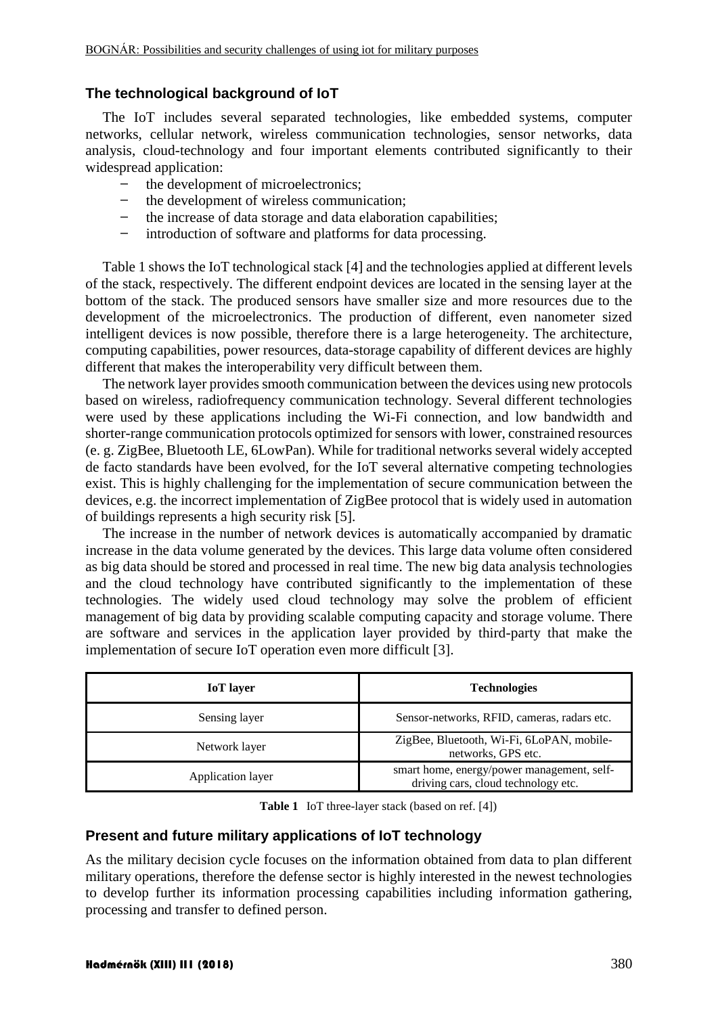## **The technological background of IoT**

The IoT includes several separated technologies, like embedded systems, computer networks, cellular network, wireless communication technologies, sensor networks, data analysis, cloud-technology and four important elements contributed significantly to their widespread application:

- the development of microelectronics;
- the development of wireless communication;
- the increase of data storage and data elaboration capabilities;
- introduction of software and platforms for data processing.

[Table 1](#page-2-0) shows the IoT technological stack [\[4\]](#page-10-2) and the technologies applied at different levels of the stack, respectively. The different endpoint devices are located in the sensing layer at the bottom of the stack. The produced sensors have smaller size and more resources due to the development of the microelectronics. The production of different, even nanometer sized intelligent devices is now possible, therefore there is a large heterogeneity. The architecture, computing capabilities, power resources, data-storage capability of different devices are highly different that makes the interoperability very difficult between them.

The network layer provides smooth communication between the devices using new protocols based on wireless, radiofrequency communication technology. Several different technologies were used by these applications including the Wi-Fi connection, and low bandwidth and shorter-range communication protocols optimized for sensors with lower, constrained resources (e. g. ZigBee, Bluetooth LE, 6LowPan). While for traditional networks several widely accepted de facto standards have been evolved, for the IoT several alternative competing technologies exist. This is highly challenging for the implementation of secure communication between the devices, e.g. the incorrect implementation of ZigBee protocol that is widely used in automation of buildings represents a high security risk [\[5\].](#page-10-3)

The increase in the number of network devices is automatically accompanied by dramatic increase in the data volume generated by the devices. This large data volume often considered as big data should be stored and processed in real time. The new big data analysis technologies and the cloud technology have contributed significantly to the implementation of these technologies. The widely used cloud technology may solve the problem of efficient management of big data by providing scalable computing capacity and storage volume. There are software and services in the application layer provided by third-party that make the implementation of secure IoT operation even more difficult [\[3\].](#page-10-4)

| <b>IoT</b> layer  | <b>Technologies</b>                                                               |
|-------------------|-----------------------------------------------------------------------------------|
| Sensing layer     | Sensor-networks, RFID, cameras, radars etc.                                       |
| Network layer     | ZigBee, Bluetooth, Wi-Fi, 6LoPAN, mobile-<br>networks, GPS etc.                   |
| Application layer | smart home, energy/power management, self-<br>driving cars, cloud technology etc. |

**Table 1** IoT three-layer stack (based on ref. [\[4\]\)](#page-10-2)

## <span id="page-2-0"></span>**Present and future military applications of IoT technology**

As the military decision cycle focuses on the information obtained from data to plan different military operations, therefore the defense sector is highly interested in the newest technologies to develop further its information processing capabilities including information gathering, processing and transfer to defined person.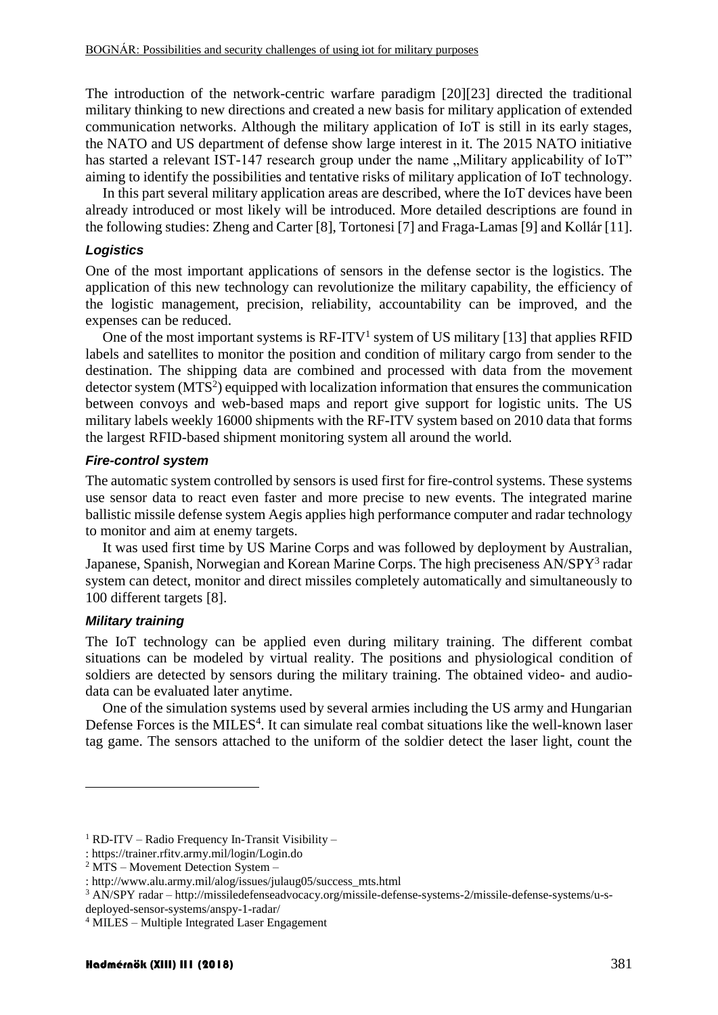The introduction of the network-centric warfare paradigm [\[20\]\[23\]](#page-11-0) directed the traditional military thinking to new directions and created a new basis for military application of extended communication networks. Although the military application of IoT is still in its early stages, the NATO and US department of defense show large interest in it. The 2015 NATO initiative has started a relevant IST-147 research group under the name "Military applicability of IoT" aiming to identify the possibilities and tentative risks of military application of IoT technology.

In this part several military application areas are described, where the IoT devices have been already introduced or most likely will be introduced. More detailed descriptions are found in the following studies: Zheng and Carter [\[8\],](#page-10-5) Tortonesi [\[7\]](#page-10-6) and Fraga-Lamas [\[9\]](#page-11-1) and Kollá[r \[11\].](#page-11-2)

#### *Logistics*

One of the most important applications of sensors in the defense sector is the logistics. The application of this new technology can revolutionize the military capability, the efficiency of the logistic management, precision, reliability, accountability can be improved, and the expenses can be reduced.

One of the most important systems is  $RF-ITV<sup>1</sup>$  system of US military [\[13\]](#page-11-3) that applies RFID labels and satellites to monitor the position and condition of military cargo from sender to the destination. The shipping data are combined and processed with data from the movement detector system (MTS<sup>2</sup>) equipped with localization information that ensures the communication between convoys and web-based maps and report give support for logistic units. The US military labels weekly 16000 shipments with the RF-ITV system based on 2010 data that forms the largest RFID-based shipment monitoring system all around the world.

#### *Fire-control system*

The automatic system controlled by sensors is used first for fire-control systems. These systems use sensor data to react even faster and more precise to new events. The integrated marine ballistic missile defense system Aegis applies high performance computer and radar technology to monitor and aim at enemy targets.

It was used first time by US Marine Corps and was followed by deployment by Australian, Japanese, Spanish, Norwegian and Korean Marine Corps. The high preciseness AN/SPY<sup>3</sup> radar system can detect, monitor and direct missiles completely automatically and simultaneously to 100 different targets [\[8\].](#page-10-5)

#### *Military training*

1

The IoT technology can be applied even during military training. The different combat situations can be modeled by virtual reality. The positions and physiological condition of soldiers are detected by sensors during the military training. The obtained video- and audiodata can be evaluated later anytime.

One of the simulation systems used by several armies including the US army and Hungarian Defense Forces is the MILES<sup>4</sup>. It can simulate real combat situations like the well-known laser tag game. The sensors attached to the uniform of the soldier detect the laser light, count the

 $1$  RD-ITV – Radio Frequency In-Transit Visibility –

<sup>:</sup> https://trainer.rfitv.army.mil/login/Login.do

<sup>2</sup> MTS – Movement Detection System –

<sup>:</sup> http://www.alu.army.mil/alog/issues/julaug05/success\_mts.html

<sup>3</sup> AN/SPY radar – http://missiledefenseadvocacy.org/missile-defense-systems-2/missile-defense-systems/u-s-

deployed-sensor-systems/anspy-1-radar/

<sup>4</sup> MILES – Multiple Integrated Laser Engagement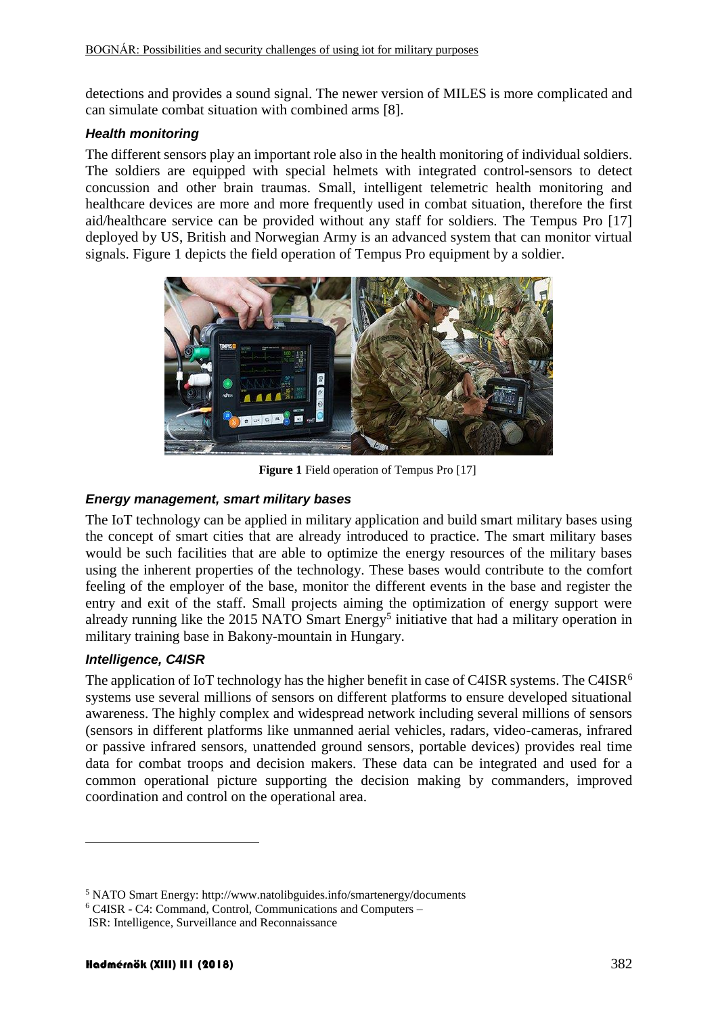detections and provides a sound signal. The newer version of MILES is more complicated and can simulate combat situation with combined arms [\[8\].](#page-10-5)

#### *Health monitoring*

The different sensors play an important role also in the health monitoring of individual soldiers. The soldiers are equipped with special helmets with integrated control-sensors to detect concussion and other brain traumas. Small, intelligent telemetric health monitoring and healthcare devices are more and more frequently used in combat situation, therefore the first aid/healthcare service can be provided without any staff for soldiers. The Tempus Pro [17] deployed by US, British and Norwegian Army is an advanced system that can monitor virtual signals. [Figure 1](#page-4-0) depicts the field operation of Tempus Pro equipment by a soldier.



**Figure 1** Field operation of Tempus Pro [\[17\]](#page-11-4)

#### <span id="page-4-0"></span>*Energy management, smart military bases*

The IoT technology can be applied in military application and build smart military bases using the concept of smart cities that are already introduced to practice. The smart military bases would be such facilities that are able to optimize the energy resources of the military bases using the inherent properties of the technology. These bases would contribute to the comfort feeling of the employer of the base, monitor the different events in the base and register the entry and exit of the staff. Small projects aiming the optimization of energy support were already running like the 2015 NATO Smart Energy<sup>5</sup> initiative that had a military operation in military training base in Bakony-mountain in Hungary.

#### *Intelligence, C4ISR*

<u>.</u>

The application of IoT technology has the higher benefit in case of C4ISR systems. The C4ISR<sup>6</sup> systems use several millions of sensors on different platforms to ensure developed situational awareness. The highly complex and widespread network including several millions of sensors (sensors in different platforms like unmanned aerial vehicles, radars, video-cameras, infrared or passive infrared sensors, unattended ground sensors, portable devices) provides real time data for combat troops and decision makers. These data can be integrated and used for a common operational picture supporting the decision making by commanders, improved coordination and control on the operational area.

<sup>5</sup> NATO Smart Energy: http://www.natolibguides.info/smartenergy/documents

<sup>6</sup> C4ISR - C4: Command, Control, Communications and Computers –

ISR: Intelligence, Surveillance and Reconnaissance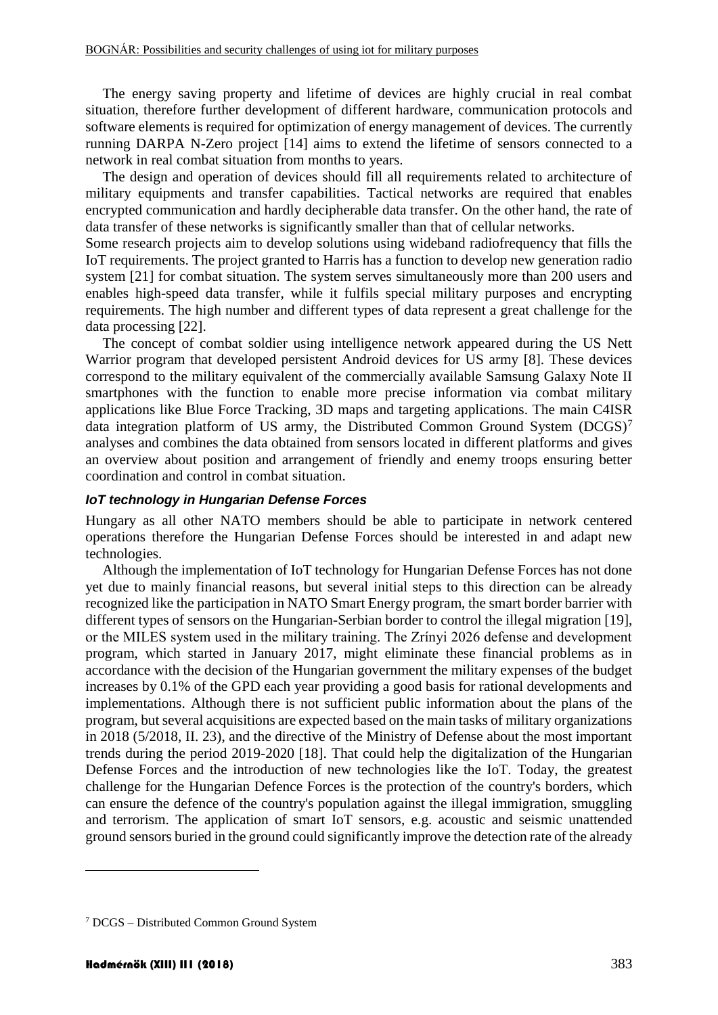The energy saving property and lifetime of devices are highly crucial in real combat situation, therefore further development of different hardware, communication protocols and software elements is required for optimization of energy management of devices. The currently running DARPA N-Zero project [\[14\]](#page-11-5) aims to extend the lifetime of sensors connected to a network in real combat situation from months to years.

The design and operation of devices should fill all requirements related to architecture of military equipments and transfer capabilities. Tactical networks are required that enables encrypted communication and hardly decipherable data transfer. On the other hand, the rate of data transfer of these networks is significantly smaller than that of cellular networks.

Some research projects aim to develop solutions using wideband radiofrequency that fills the IoT requirements. The project granted to Harris has a function to develop new generation radio system [\[21\]](#page-11-6) for combat situation. The system serves simultaneously more than 200 users and enables high-speed data transfer, while it fulfils special military purposes and encrypting requirements. The high number and different types of data represent a great challenge for the data processing [\[22\].](#page-12-0)

The concept of combat soldier using intelligence network appeared during the US Nett Warrior program that developed persistent Android devices for US army [\[8\].](#page-10-5) These devices correspond to the military equivalent of the commercially available Samsung Galaxy Note II smartphones with the function to enable more precise information via combat military applications like Blue Force Tracking, 3D maps and targeting applications. The main C4ISR data integration platform of US army, the Distributed Common Ground System (DCGS)<sup>7</sup> analyses and combines the data obtained from sensors located in different platforms and gives an overview about position and arrangement of friendly and enemy troops ensuring better coordination and control in combat situation.

#### *IoT technology in Hungarian Defense Forces*

Hungary as all other NATO members should be able to participate in network centered operations therefore the Hungarian Defense Forces should be interested in and adapt new technologies.

Although the implementation of IoT technology for Hungarian Defense Forces has not done yet due to mainly financial reasons, but several initial steps to this direction can be already recognized like the participation in NATO Smart Energy program, the smart border barrier with different types of sensors on the Hungarian-Serbian border to control the illegal migration [\[19\],](#page-11-7) or the MILES system used in the military training. The Zrínyi 2026 defense and development program, which started in January 2017, might eliminate these financial problems as in accordance with the decision of the Hungarian government the military expenses of the budget increases by 0.1% of the GPD each year providing a good basis for rational developments and implementations. Although there is not sufficient public information about the plans of the program, but several acquisitions are expected based on the main tasks of military organizations in 2018 (5/2018, II. 23), and the directive of the Ministry of Defense about the most important trends during the period 2019-2020 [\[18\].](#page-11-8) That could help the digitalization of the Hungarian Defense Forces and the introduction of new technologies like the IoT. Today, the greatest challenge for the Hungarian Defence Forces is the protection of the country's borders, which can ensure the defence of the country's population against the illegal immigration, smuggling and terrorism. The application of smart IoT sensors, e.g. acoustic and seismic unattended ground sensors buried in the ground could significantly improve the detection rate of the already

1

<sup>7</sup> DCGS – Distributed Common Ground System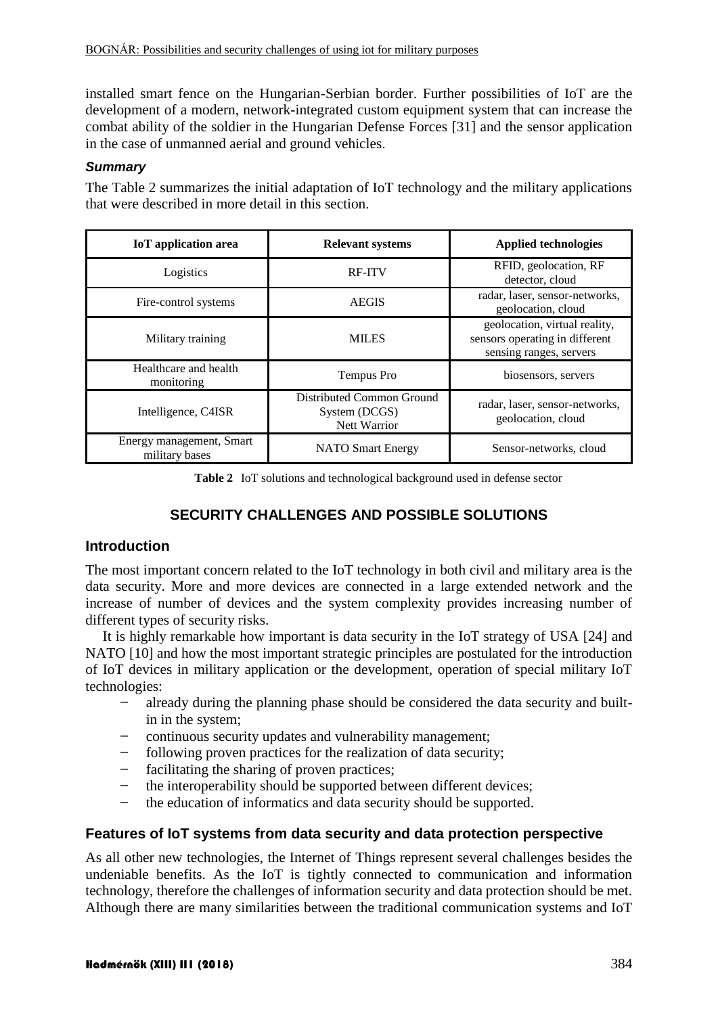installed smart fence on the Hungarian-Serbian border. Further possibilities of IoT are the development of a modern, network-integrated custom equipment system that can increase the combat ability of the soldier in the Hungarian Defense Forces [\[31\]](#page-12-1) and the sensor application in the case of unmanned aerial and ground vehicles.

#### *Summary*

The [Table 2](#page-6-0) summarizes the initial adaptation of IoT technology and the military applications that were described in more detail in this section.

| <b>IoT</b> application area                | <b>Relevant systems</b>                                           | <b>Applied technologies</b>                                                                |
|--------------------------------------------|-------------------------------------------------------------------|--------------------------------------------------------------------------------------------|
| Logistics                                  | <b>RF-ITV</b>                                                     | RFID, geolocation, RF<br>detector, cloud                                                   |
| Fire-control systems                       | <b>AEGIS</b>                                                      | radar, laser, sensor-networks,<br>geolocation, cloud                                       |
| Military training                          | <b>MILES</b>                                                      | geolocation, virtual reality,<br>sensors operating in different<br>sensing ranges, servers |
| Healthcare and health<br>monitoring        | Tempus Pro                                                        | biosensors, servers                                                                        |
| Intelligence, C4ISR                        | Distributed Common Ground<br>System (DCGS)<br><b>Nett Warrior</b> | radar, laser, sensor-networks,<br>geolocation, cloud                                       |
| Energy management, Smart<br>military bases | <b>NATO</b> Smart Energy                                          | Sensor-networks, cloud                                                                     |

**Table 2** IoT solutions and technological background used in defense sector

# **SECURITY CHALLENGES AND POSSIBLE SOLUTIONS**

## <span id="page-6-0"></span>**Introduction**

The most important concern related to the IoT technology in both civil and military area is the data security. More and more devices are connected in a large extended network and the increase of number of devices and the system complexity provides increasing number of different types of security risks.

It is highly remarkable how important is data security in the IoT strategy of USA [\[24\]](#page-12-2) and NATO [\[10\]](#page-11-9) and how the most important strategic principles are postulated for the introduction of IoT devices in military application or the development, operation of special military IoT technologies:

- ̶ already during the planning phase should be considered the data security and builtin in the system;
- ̶ continuous security updates and vulnerability management;
- ̶ following proven practices for the realization of data security;
- facilitating the sharing of proven practices;
- the interoperability should be supported between different devices;
- the education of informatics and data security should be supported.

## **Features of IoT systems from data security and data protection perspective**

As all other new technologies, the Internet of Things represent several challenges besides the undeniable benefits. As the IoT is tightly connected to communication and information technology, therefore the challenges of information security and data protection should be met. Although there are many similarities between the traditional communication systems and IoT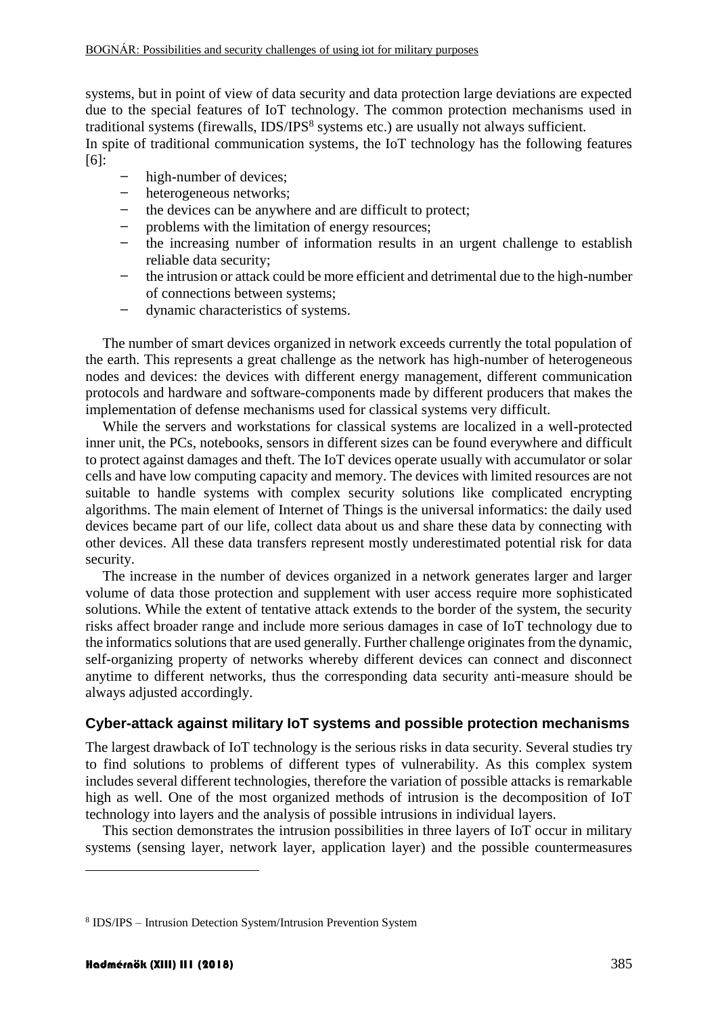systems, but in point of view of data security and data protection large deviations are expected due to the special features of IoT technology. The common protection mechanisms used in traditional systems (firewalls, IDS/IPS<sup>8</sup> systems etc.) are usually not always sufficient.

In spite of traditional communication systems, the IoT technology has the following features [\[6\]:](#page-10-7)

- high-number of devices;
- ̶ heterogeneous networks;
- the devices can be anywhere and are difficult to protect;
- ̶ problems with the limitation of energy resources;
- ̶ the increasing number of information results in an urgent challenge to establish reliable data security;
- ̶ the intrusion or attack could be more efficient and detrimental due to the high-number of connections between systems;
- ̶ dynamic characteristics of systems.

The number of smart devices organized in network exceeds currently the total population of the earth. This represents a great challenge as the network has high-number of heterogeneous nodes and devices: the devices with different energy management, different communication protocols and hardware and software-components made by different producers that makes the implementation of defense mechanisms used for classical systems very difficult.

While the servers and workstations for classical systems are localized in a well-protected inner unit, the PCs, notebooks, sensors in different sizes can be found everywhere and difficult to protect against damages and theft. The IoT devices operate usually with accumulator or solar cells and have low computing capacity and memory. The devices with limited resources are not suitable to handle systems with complex security solutions like complicated encrypting algorithms. The main element of Internet of Things is the universal informatics: the daily used devices became part of our life, collect data about us and share these data by connecting with other devices. All these data transfers represent mostly underestimated potential risk for data security.

The increase in the number of devices organized in a network generates larger and larger volume of data those protection and supplement with user access require more sophisticated solutions. While the extent of tentative attack extends to the border of the system, the security risks affect broader range and include more serious damages in case of IoT technology due to the informatics solutions that are used generally. Further challenge originates from the dynamic, self-organizing property of networks whereby different devices can connect and disconnect anytime to different networks, thus the corresponding data security anti-measure should be always adjusted accordingly.

## **Cyber-attack against military IoT systems and possible protection mechanisms**

The largest drawback of IoT technology is the serious risks in data security. Several studies try to find solutions to problems of different types of vulnerability. As this complex system includes several different technologies, therefore the variation of possible attacks is remarkable high as well. One of the most organized methods of intrusion is the decomposition of IoT technology into layers and the analysis of possible intrusions in individual layers.

This section demonstrates the intrusion possibilities in three layers of IoT occur in military systems (sensing layer, network layer, application layer) and the possible countermeasures

1

<sup>8</sup> IDS/IPS – Intrusion Detection System/Intrusion Prevention System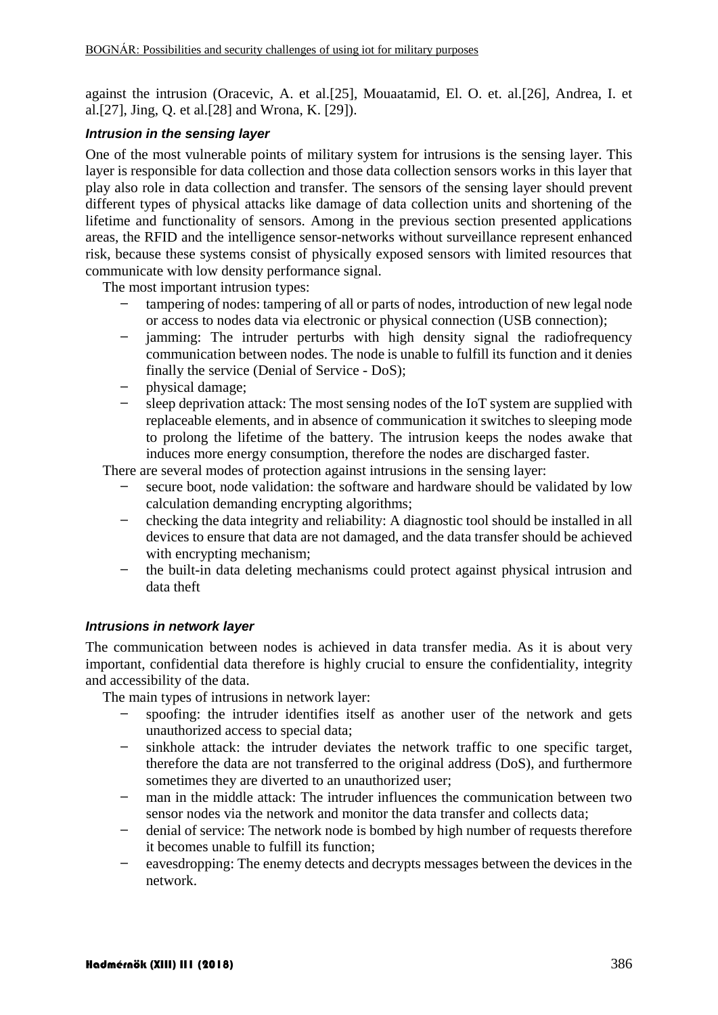against the intrusion (Oracevic, A. et al[.\[25\],](#page-12-3) Mouaatamid, El. O. et. al[.\[26\],](#page-12-4) Andrea, I. et al[.\[27\],](#page-12-5) Jing, Q. et al[.\[28\]](#page-12-6) and Wrona, K. [\[29\]\)](#page-12-7).

#### *Intrusion in the sensing layer*

One of the most vulnerable points of military system for intrusions is the sensing layer. This layer is responsible for data collection and those data collection sensors works in this layer that play also role in data collection and transfer. The sensors of the sensing layer should prevent different types of physical attacks like damage of data collection units and shortening of the lifetime and functionality of sensors. Among in the previous section presented applications areas, the RFID and the intelligence sensor-networks without surveillance represent enhanced risk, because these systems consist of physically exposed sensors with limited resources that communicate with low density performance signal.

The most important intrusion types:

- ̶ tampering of nodes: tampering of all or parts of nodes, introduction of new legal node or access to nodes data via electronic or physical connection (USB connection);
- iamming: The intruder perturbs with high density signal the radiofrequency communication between nodes. The node is unable to fulfill its function and it denies finally the service (Denial of Service - DoS);
- physical damage;
- ̶ sleep deprivation attack: The most sensing nodes of the IoT system are supplied with replaceable elements, and in absence of communication it switches to sleeping mode to prolong the lifetime of the battery. The intrusion keeps the nodes awake that induces more energy consumption, therefore the nodes are discharged faster.

There are several modes of protection against intrusions in the sensing layer:

- secure boot, node validation: the software and hardware should be validated by low calculation demanding encrypting algorithms;
- checking the data integrity and reliability: A diagnostic tool should be installed in all devices to ensure that data are not damaged, and the data transfer should be achieved with encrypting mechanism;
- the built-in data deleting mechanisms could protect against physical intrusion and data theft

## *Intrusions in network layer*

The communication between nodes is achieved in data transfer media. As it is about very important, confidential data therefore is highly crucial to ensure the confidentiality, integrity and accessibility of the data.

The main types of intrusions in network layer:

- ̶ spoofing: the intruder identifies itself as another user of the network and gets unauthorized access to special data;
- ̶ sinkhole attack: the intruder deviates the network traffic to one specific target, therefore the data are not transferred to the original address (DoS), and furthermore sometimes they are diverted to an unauthorized user;
- man in the middle attack: The intruder influences the communication between two sensor nodes via the network and monitor the data transfer and collects data;
- ̶ denial of service: The network node is bombed by high number of requests therefore it becomes unable to fulfill its function;
- ̶ eavesdropping: The enemy detects and decrypts messages between the devices in the network.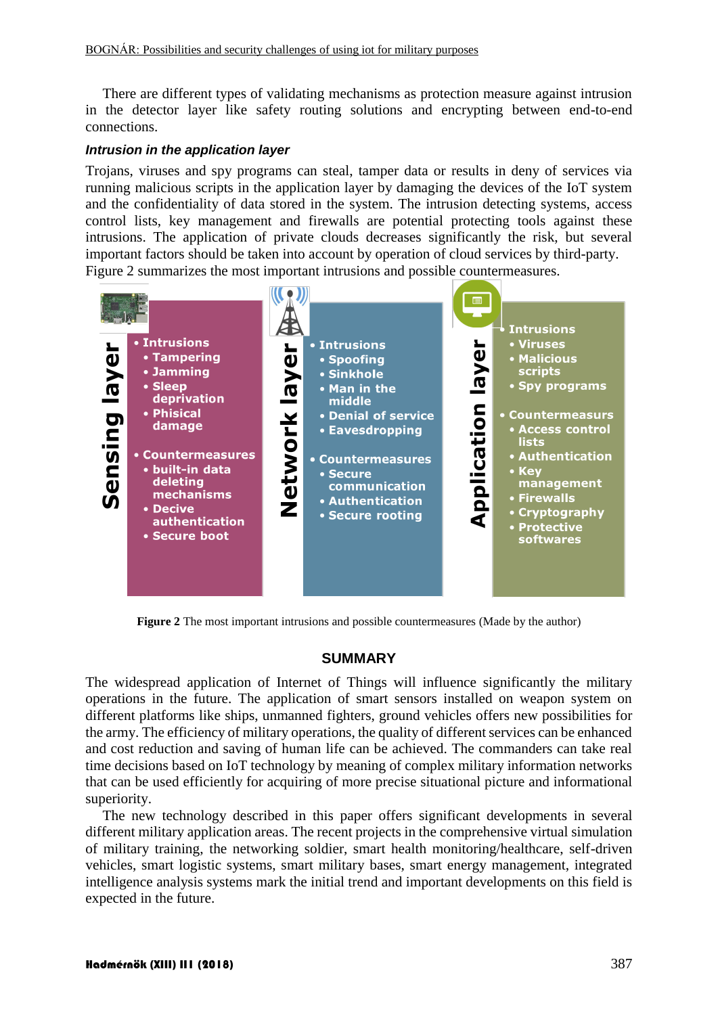There are different types of validating mechanisms as protection measure against intrusion in the detector layer like safety routing solutions and encrypting between end-to-end connections.

#### *Intrusion in the application layer*

Trojans, viruses and spy programs can steal, tamper data or results in deny of services via running malicious scripts in the application layer by damaging the devices of the IoT system and the confidentiality of data stored in the system. The intrusion detecting systems, access control lists, key management and firewalls are potential protecting tools against these intrusions. The application of private clouds decreases significantly the risk, but several important factors should be taken into account by operation of cloud services by third-party. [Figure 2](#page-9-0) summarizes the most important intrusions and possible countermeasures.



<span id="page-9-0"></span>**Figure 2** The most important intrusions and possible countermeasures (Made by the author)

## **SUMMARY**

The widespread application of Internet of Things will influence significantly the military operations in the future. The application of smart sensors installed on weapon system on different platforms like ships, unmanned fighters, ground vehicles offers new possibilities for the army. The efficiency of military operations, the quality of different services can be enhanced and cost reduction and saving of human life can be achieved. The commanders can take real time decisions based on IoT technology by meaning of complex military information networks that can be used efficiently for acquiring of more precise situational picture and informational superiority.

The new technology described in this paper offers significant developments in several different military application areas. The recent projects in the comprehensive virtual simulation of military training, the networking soldier, smart health monitoring/healthcare, self-driven vehicles, smart logistic systems, smart military bases, smart energy management, integrated intelligence analysis systems mark the initial trend and important developments on this field is expected in the future.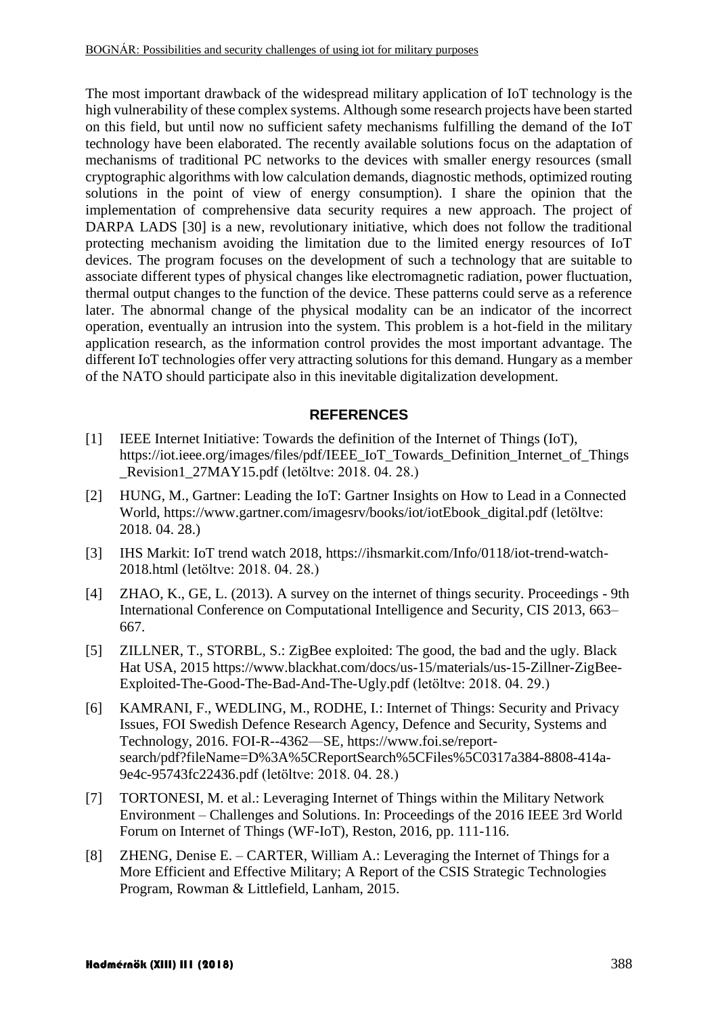The most important drawback of the widespread military application of IoT technology is the high vulnerability of these complex systems. Although some research projects have been started on this field, but until now no sufficient safety mechanisms fulfilling the demand of the IoT technology have been elaborated. The recently available solutions focus on the adaptation of mechanisms of traditional PC networks to the devices with smaller energy resources (small cryptographic algorithms with low calculation demands, diagnostic methods, optimized routing solutions in the point of view of energy consumption). I share the opinion that the implementation of comprehensive data security requires a new approach. The project of DARPA LADS [\[30\]](#page-12-8) is a new, revolutionary initiative, which does not follow the traditional protecting mechanism avoiding the limitation due to the limited energy resources of IoT devices. The program focuses on the development of such a technology that are suitable to associate different types of physical changes like electromagnetic radiation, power fluctuation, thermal output changes to the function of the device. These patterns could serve as a reference later. The abnormal change of the physical modality can be an indicator of the incorrect operation, eventually an intrusion into the system. This problem is a hot-field in the military application research, as the information control provides the most important advantage. The different IoT technologies offer very attracting solutions for this demand. Hungary as a member of the NATO should participate also in this inevitable digitalization development.

## **REFERENCES**

- <span id="page-10-0"></span>[1] IEEE Internet Initiative: Towards the definition of the Internet of Things (IoT), [https://iot.ieee.org/images/files/pdf/IEEE\\_IoT\\_Towards\\_Definition\\_Internet\\_of\\_Things](https://iot.ieee.org/images/files/pdf/IEEE_IoT_Towards_Definition_Internet_of_Things_Revision1_27MAY15.pdf) Revision1\_27MAY15.pdf (letöltve: 2018. 04. 28.)
- <span id="page-10-1"></span>[2] HUNG, M., Gartner: Leading the IoT: Gartner Insights on How to Lead in a Connected World, [https://www.gartner.com/imagesrv/books/iot/iotEbook\\_digital.pdf](https://www.gartner.com/imagesrv/books/iot/iotEbook_digital.pdf) (letöltve: 2018. 04. 28.)
- <span id="page-10-4"></span>[3] IHS Markit: IoT trend watch 2018, [https://ihsmarkit.com/Info/0118/iot-trend-watch-](https://ihsmarkit.com/Info/0118/iot-trend-watch-2018.html)[2018.html](https://ihsmarkit.com/Info/0118/iot-trend-watch-2018.html) (letöltve: 2018. 04. 28.)
- <span id="page-10-2"></span>[4] ZHAO, K., GE, L. (2013). A survey on the internet of things security. Proceedings - 9th International Conference on Computational Intelligence and Security, CIS 2013, 663– 667.
- <span id="page-10-3"></span>[5] ZILLNER, T., STORBL, S.: ZigBee exploited: The good, the bad and the ugly. Black Hat USA, 2015 [https://www.blackhat.com/docs/us-15/materials/us-15-Zillner-ZigBee-](https://www.blackhat.com/docs/us-15/materials/us-15-Zillner-ZigBee-Exploited-The-Good-The-Bad-And-The-Ugly.pdf)[Exploited-The-Good-The-Bad-And-The-Ugly.pdf](https://www.blackhat.com/docs/us-15/materials/us-15-Zillner-ZigBee-Exploited-The-Good-The-Bad-And-The-Ugly.pdf) (letöltve: 2018. 04. 29.)
- <span id="page-10-7"></span>[6] KAMRANI, F., WEDLING, M., RODHE, I.: Internet of Things: Security and Privacy Issues, FOI Swedish Defence Research Agency, Defence and Security, Systems and Technology, 2016. FOI-R--4362—SE, [https://www.foi.se/report](https://www.foi.se/report-search/pdf?fileName=D%3A%5CReportSearch%5CFiles%5C0317a384-8808-414a-9e4c-95743fc22436.pdf)[search/pdf?fileName=D%3A%5CReportSearch%5CFiles%5C0317a384-8808-414a-](https://www.foi.se/report-search/pdf?fileName=D%3A%5CReportSearch%5CFiles%5C0317a384-8808-414a-9e4c-95743fc22436.pdf)[9e4c-95743fc22436.pdf](https://www.foi.se/report-search/pdf?fileName=D%3A%5CReportSearch%5CFiles%5C0317a384-8808-414a-9e4c-95743fc22436.pdf) (letöltve: 2018. 04. 28.)
- <span id="page-10-6"></span>[7] TORTONESI, M. et al.: Leveraging Internet of Things within the Military Network Environment – Challenges and Solutions. In: Proceedings of the 2016 IEEE 3rd World Forum on Internet of Things (WF-IoT), Reston, 2016, pp. 111-116.
- <span id="page-10-5"></span>[8] ZHENG, Denise E. – CARTER, William A.: Leveraging the Internet of Things for a More Efficient and Effective Military; A Report of the CSIS Strategic Technologies Program, Rowman & Littlefield, Lanham, 2015.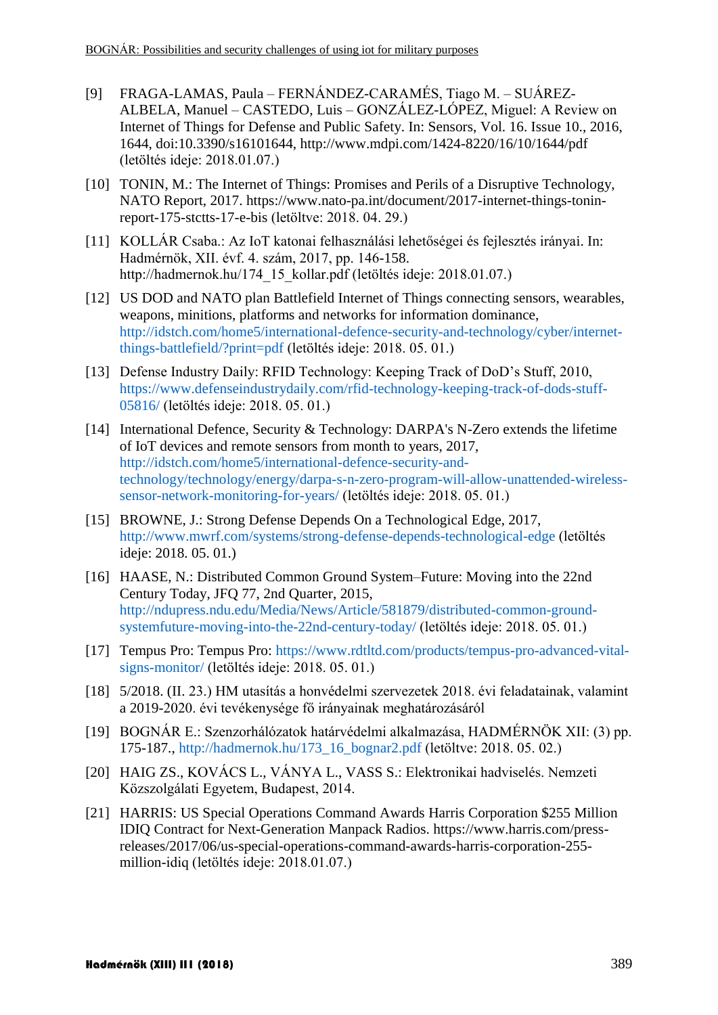- <span id="page-11-1"></span>[9] FRAGA-LAMAS, Paula – FERNÁNDEZ-CARAMÉS, Tiago M. – SUÁREZ-ALBELA, Manuel – CASTEDO, Luis – GONZÁLEZ-LÓPEZ, Miguel: A Review on Internet of Things for Defense and Public Safety. In: Sensors, Vol. 16. Issue 10., 2016, 1644, doi:10.3390/s16101644, http://www.mdpi.com/1424-8220/16/10/1644/pdf (letöltés ideje: 2018.01.07.)
- <span id="page-11-9"></span>[10] TONIN, M.: The Internet of Things: Promises and Perils of a Disruptive Technology, NATO Report, 2017. [https://www.nato-pa.int/document/2017-internet-things-tonin](https://www.nato-pa.int/document/2017-internet-things-tonin-report-175-stctts-17-e-bis)[report-175-stctts-17-e-bis](https://www.nato-pa.int/document/2017-internet-things-tonin-report-175-stctts-17-e-bis) (letöltve: 2018. 04. 29.)
- <span id="page-11-2"></span>[11] KOLLÁR Csaba.: Az IoT katonai felhasználási lehetőségei és fejlesztés irányai. In: Hadmérnök, XII. évf. 4. szám, 2017, pp. 146-158. http://hadmernok.hu/174\_15\_kollar.pdf (letöltés ideje: 2018.01.07.)
- [12] US DOD and NATO plan Battlefield Internet of Things connecting sensors, wearables, weapons, minitions, platforms and networks for information dominance, [http://idstch.com/home5/international-defence-security-and-technology/cyber/internet](http://idstch.com/home5/international-defence-security-and-technology/cyber/internet-things-battlefield/?print=pdf)[things-battlefield/?print=pdf](http://idstch.com/home5/international-defence-security-and-technology/cyber/internet-things-battlefield/?print=pdf) (letöltés ideje: 2018. 05. 01.)
- <span id="page-11-3"></span>[13] Defense Industry Daily: RFID Technology: Keeping Track of DoD's Stuff, 2010, [https://www.defenseindustrydaily.com/rfid-technology-keeping-track-of-dods-stuff-](https://www.defenseindustrydaily.com/rfid-technology-keeping-track-of-dods-stuff-05816/)[05816/](https://www.defenseindustrydaily.com/rfid-technology-keeping-track-of-dods-stuff-05816/) (letöltés ideje: 2018. 05. 01.)
- <span id="page-11-5"></span>[14] International Defence, Security & Technology: DARPA's N-Zero extends the lifetime of IoT devices and remote sensors from month to years, 2017, [http://idstch.com/home5/international-defence-security-and](http://idstch.com/home5/international-defence-security-and-technology/technology/energy/darpa-s-n-zero-program-will-allow-unattended-wireless-sensor-network-monitoring-for-years/)[technology/technology/energy/darpa-s-n-zero-program-will-allow-unattended-wireless](http://idstch.com/home5/international-defence-security-and-technology/technology/energy/darpa-s-n-zero-program-will-allow-unattended-wireless-sensor-network-monitoring-for-years/)[sensor-network-monitoring-for-years/](http://idstch.com/home5/international-defence-security-and-technology/technology/energy/darpa-s-n-zero-program-will-allow-unattended-wireless-sensor-network-monitoring-for-years/) (letöltés ideje: 2018. 05. 01.)
- [15] BROWNE, J.: Strong Defense Depends On a Technological Edge, 2017, <http://www.mwrf.com/systems/strong-defense-depends-technological-edge> (letöltés ideje: 2018. 05. 01.)
- [16] HAASE, N.: Distributed Common Ground System–Future: Moving into the 22nd Century Today, JFQ 77, 2nd Quarter, 2015, [http://ndupress.ndu.edu/Media/News/Article/581879/distributed-common-ground](http://ndupress.ndu.edu/Media/News/Article/581879/distributed-common-ground-systemfuture-moving-into-the-22nd-century-today/)[systemfuture-moving-into-the-22nd-century-today/](http://ndupress.ndu.edu/Media/News/Article/581879/distributed-common-ground-systemfuture-moving-into-the-22nd-century-today/) (letöltés ideje: 2018. 05. 01.)
- <span id="page-11-4"></span>[17] Tempus Pro: Tempus Pro: [https://www.rdtltd.com/products/tempus-pro-advanced-vital](https://www.rdtltd.com/products/tempus-pro-advanced-vital-signs-monitor/)[signs-monitor/](https://www.rdtltd.com/products/tempus-pro-advanced-vital-signs-monitor/) (letöltés ideje: 2018. 05. 01.)
- <span id="page-11-8"></span>[18] 5/2018. (II. 23.) HM utasítás a honvédelmi szervezetek 2018. évi feladatainak, valamint a 2019-2020. évi tevékenysége fő irányainak meghatározásáról
- <span id="page-11-7"></span>[19] BOGNÁR E.: Szenzorhálózatok határvédelmi alkalmazása, HADMÉRNÖK XII: (3) pp. 175-187., [http://hadmernok.hu/173\\_16\\_bognar2.pdf](http://hadmernok.hu/173_16_bognar2.pdf) (letöltve: 2018. 05. 02.)
- <span id="page-11-0"></span>[20] HAIG ZS., KOVÁCS L., VÁNYA L., VASS S.: Elektronikai hadviselés. Nemzeti Közszolgálati Egyetem, Budapest, 2014.
- <span id="page-11-6"></span>[21] HARRIS: US Special Operations Command Awards Harris Corporation \$255 Million IDIQ Contract for Next-Generation Manpack Radios. https://www.harris.com/pressreleases/2017/06/us-special-operations-command-awards-harris-corporation-255 million-idiq (letöltés ideje: 2018.01.07.)